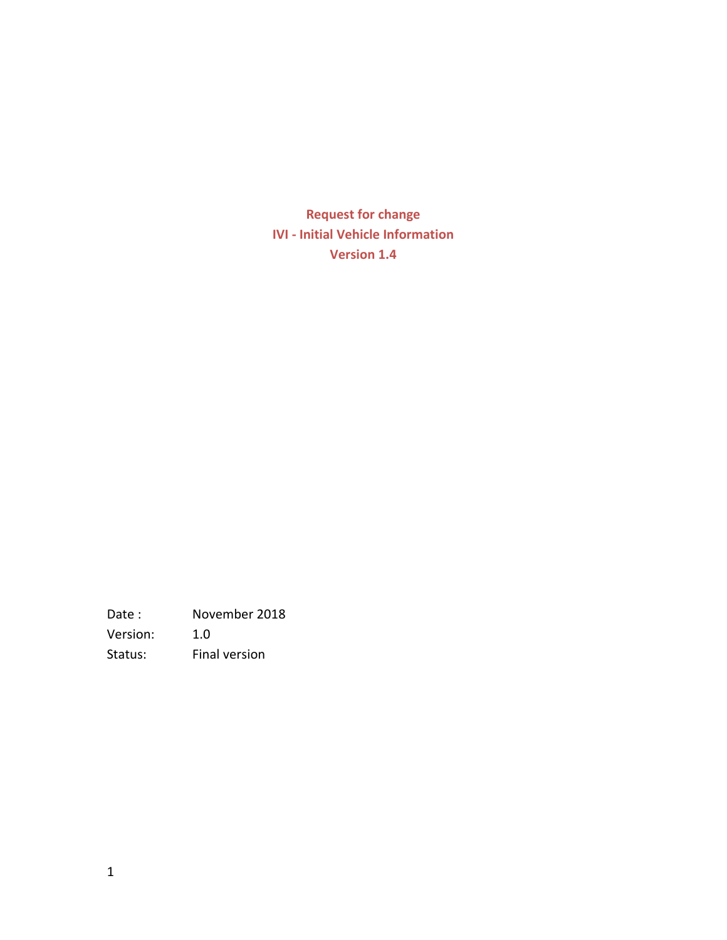**Request for change IVI - Initial Vehicle Information Version 1.4**

Date : November 2018 Version: 1.0 Status: Final version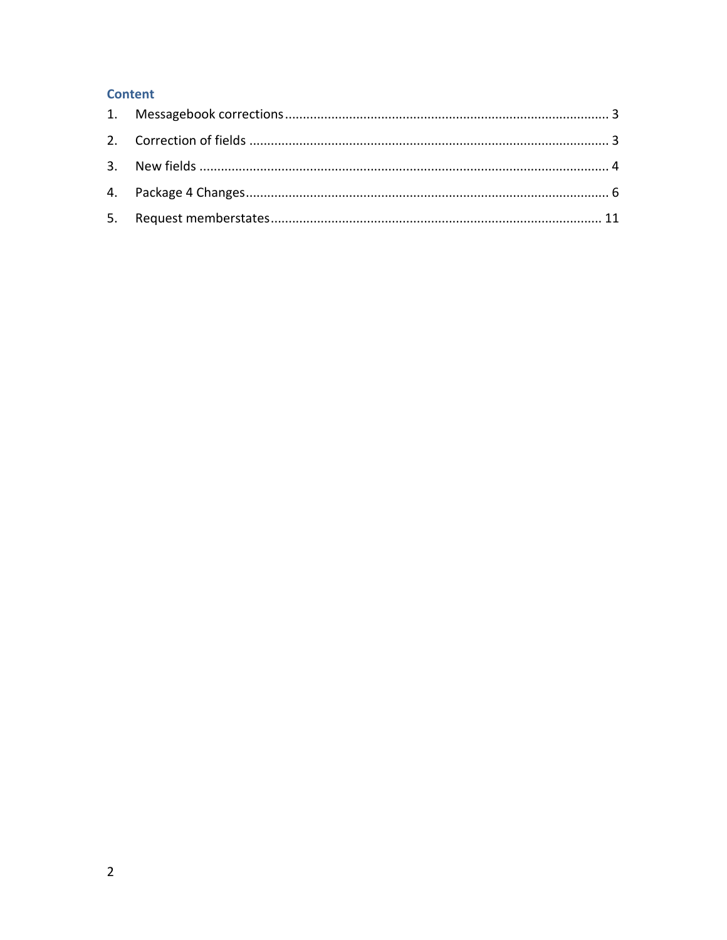### **Content**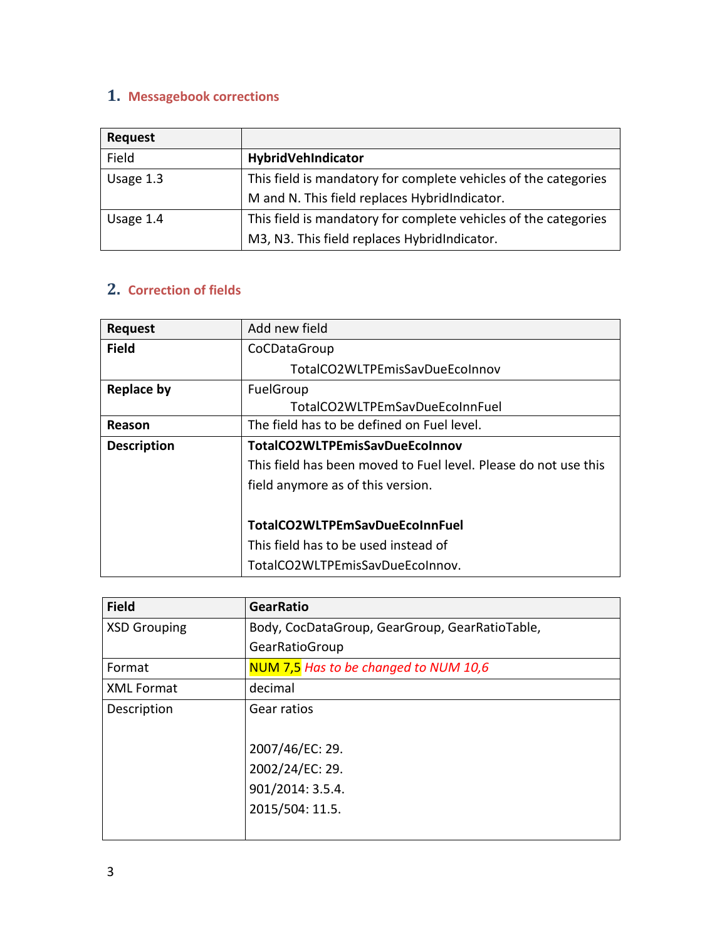### <span id="page-2-0"></span>**1. Messagebook corrections**

| <b>Request</b> |                                                                 |
|----------------|-----------------------------------------------------------------|
| Field          | HybridVehIndicator                                              |
| Usage 1.3      | This field is mandatory for complete vehicles of the categories |
|                | M and N. This field replaces HybridIndicator.                   |
| Usage 1.4      | This field is mandatory for complete vehicles of the categories |
|                | M3, N3. This field replaces HybridIndicator.                    |

# <span id="page-2-1"></span>**2. Correction of fields**

| <b>Request</b>     | Add new field                                                   |
|--------------------|-----------------------------------------------------------------|
| <b>Field</b>       | CoCDataGroup                                                    |
|                    | TotalCO2WLTPEmisSavDueEcoInnov                                  |
| <b>Replace by</b>  | FuelGroup                                                       |
|                    | TotalCO2WLTPEmSavDueEcoInnFuel                                  |
| Reason             | The field has to be defined on Fuel level.                      |
| <b>Description</b> | TotalCO2WLTPEmisSavDueEcoInnov                                  |
|                    | This field has been moved to Fuel level. Please do not use this |
|                    | field anymore as of this version.                               |
|                    |                                                                 |
|                    | TotalCO2WLTPEmSavDueEcoInnFuel                                  |
|                    | This field has to be used instead of                            |
|                    | TotalCO2WLTPEmisSavDueEcoInnov.                                 |

| <b>Field</b>        | <b>GearRatio</b>                               |
|---------------------|------------------------------------------------|
| <b>XSD Grouping</b> | Body, CocDataGroup, GearGroup, GearRatioTable, |
|                     | GearRatioGroup                                 |
| Format              | NUM 7,5 Has to be changed to NUM 10,6          |
| <b>XML Format</b>   | decimal                                        |
| Description         | Gear ratios                                    |
|                     |                                                |
|                     | 2007/46/EC: 29.                                |
|                     | 2002/24/EC: 29.                                |
|                     | 901/2014: 3.5.4.                               |
|                     | 2015/504: 11.5.                                |
|                     |                                                |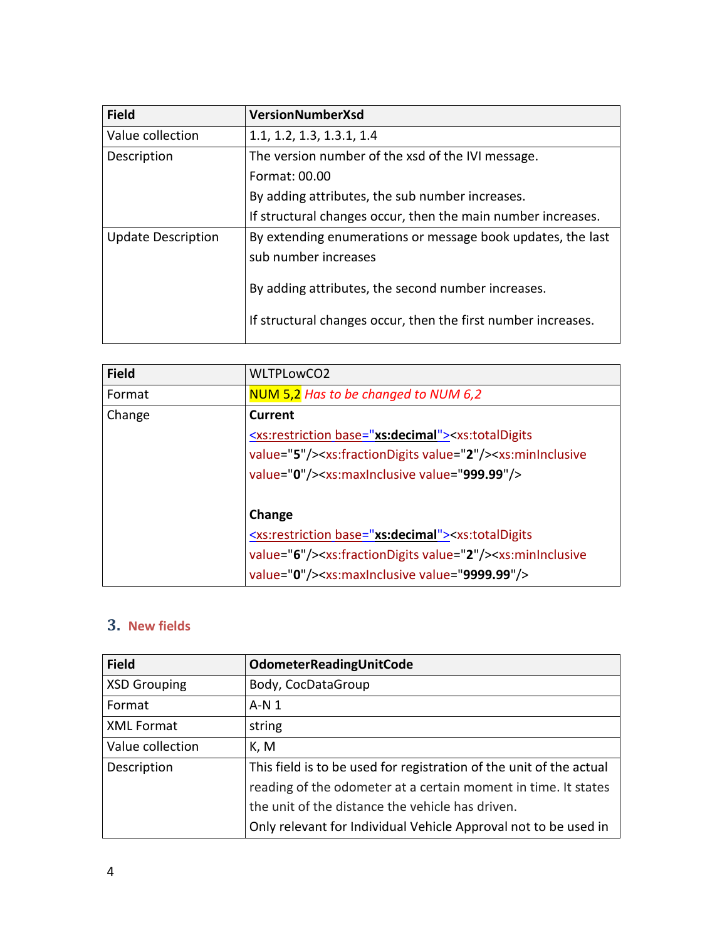| <b>Field</b>              | <b>VersionNumberXsd</b>                                       |
|---------------------------|---------------------------------------------------------------|
| Value collection          | 1.1, 1.2, 1.3, 1.3.1, 1.4                                     |
| Description               | The version number of the xsd of the IVI message.             |
|                           | Format: 00.00                                                 |
|                           | By adding attributes, the sub number increases.               |
|                           | If structural changes occur, then the main number increases.  |
| <b>Update Description</b> | By extending enumerations or message book updates, the last   |
|                           | sub number increases                                          |
|                           | By adding attributes, the second number increases.            |
|                           |                                                               |
|                           | If structural changes occur, then the first number increases. |
|                           |                                                               |

| <b>Field</b> | <b>WLTPLowCO2</b>                                                                                         |
|--------------|-----------------------------------------------------------------------------------------------------------|
| Format       | NUM 5,2 Has to be changed to NUM 6,2                                                                      |
| Change       | Current                                                                                                   |
|              | <xs:restriction base="xs:decimal"><xs:totaldigits< td=""></xs:totaldigits<></xs:restriction>              |
|              | value="5"/> <xs:fractiondigits value="2"></xs:fractiondigits> <xs:mininclusive< td=""></xs:mininclusive<> |
|              | value="0"/> <xs:maxinclusive value="999.99"></xs:maxinclusive>                                            |
|              |                                                                                                           |
|              | Change                                                                                                    |
|              | <xs:restriction base="xs:decimal"><xs:totaldigits< td=""></xs:totaldigits<></xs:restriction>              |
|              | value="6"/> <xs:fractiondigits value="2"></xs:fractiondigits> <xs:mininclusive< td=""></xs:mininclusive<> |
|              | value="0"/> <xs:maxinclusive value="9999.99"></xs:maxinclusive>                                           |

# <span id="page-3-0"></span>**3. New fields**

| <b>Field</b>        | OdometerReadingUnitCode                                             |
|---------------------|---------------------------------------------------------------------|
| <b>XSD Grouping</b> | Body, CocDataGroup                                                  |
| Format              | $A-N1$                                                              |
| <b>XML Format</b>   | string                                                              |
| Value collection    | K, M                                                                |
| Description         | This field is to be used for registration of the unit of the actual |
|                     | reading of the odometer at a certain moment in time. It states      |
|                     | the unit of the distance the vehicle has driven.                    |
|                     | Only relevant for Individual Vehicle Approval not to be used in     |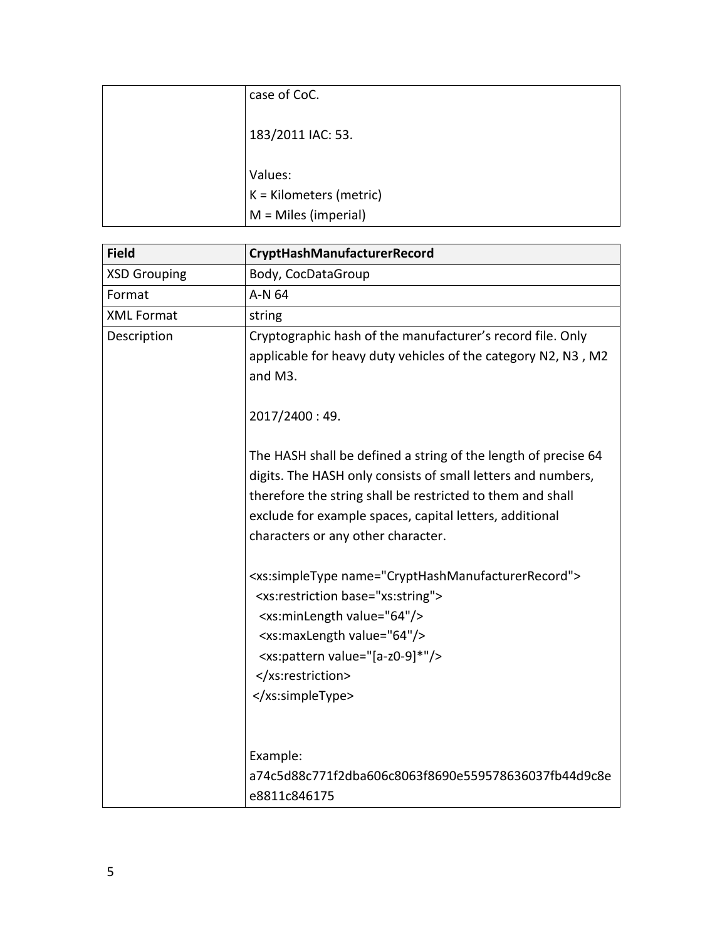| case of CoC.            |
|-------------------------|
| 183/2011 IAC: 53.       |
| Values:                 |
| K = Kilometers (metric) |
| $M =$ Miles (imperial)  |

| <b>Field</b>        | CryptHashManufacturerRecord                                                                                                                                                                                                                                                                                                                                                                                                                                                                                                                                                                                                                                                                                                               |
|---------------------|-------------------------------------------------------------------------------------------------------------------------------------------------------------------------------------------------------------------------------------------------------------------------------------------------------------------------------------------------------------------------------------------------------------------------------------------------------------------------------------------------------------------------------------------------------------------------------------------------------------------------------------------------------------------------------------------------------------------------------------------|
| <b>XSD Grouping</b> | Body, CocDataGroup                                                                                                                                                                                                                                                                                                                                                                                                                                                                                                                                                                                                                                                                                                                        |
| Format              | A-N 64                                                                                                                                                                                                                                                                                                                                                                                                                                                                                                                                                                                                                                                                                                                                    |
| <b>XML Format</b>   | string                                                                                                                                                                                                                                                                                                                                                                                                                                                                                                                                                                                                                                                                                                                                    |
| Description         | Cryptographic hash of the manufacturer's record file. Only<br>applicable for heavy duty vehicles of the category N2, N3, M2<br>and M3.<br>2017/2400:49.<br>The HASH shall be defined a string of the length of precise 64<br>digits. The HASH only consists of small letters and numbers,<br>therefore the string shall be restricted to them and shall<br>exclude for example spaces, capital letters, additional<br>characters or any other character.<br><xs:simpletype name="CryptHashManufacturerRecord"><br/><xs:restriction base="xs:string"><br/><xs:minlength value="64"></xs:minlength><br/><xs:maxlength value="64"></xs:maxlength><br/><xs:pattern value="[a-z0-9]*"></xs:pattern><br/></xs:restriction><br/></xs:simpletype> |
|                     | Example:<br>a74c5d88c771f2dba606c8063f8690e559578636037fb44d9c8e<br>e8811c846175                                                                                                                                                                                                                                                                                                                                                                                                                                                                                                                                                                                                                                                          |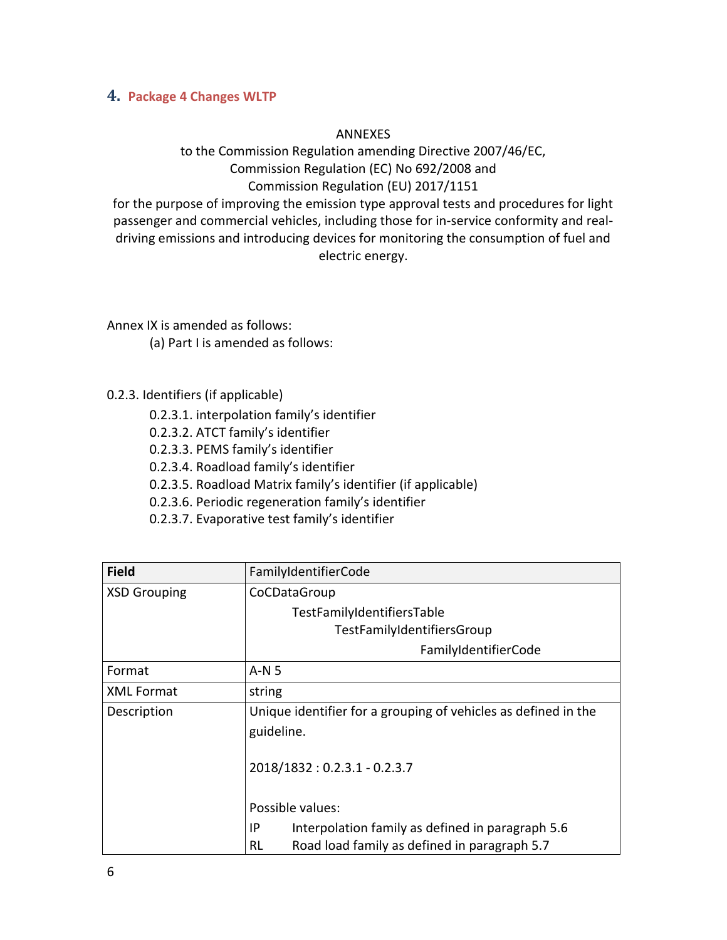#### <span id="page-5-0"></span>**4. Package 4 Changes WLTP**

#### ANNEXES

to the Commission Regulation amending Directive 2007/46/EC, Commission Regulation (EC) No 692/2008 and Commission Regulation (EU) 2017/1151

for the purpose of improving the emission type approval tests and procedures for light passenger and commercial vehicles, including those for in-service conformity and realdriving emissions and introducing devices for monitoring the consumption of fuel and electric energy.

Annex IX is amended as follows:

- (a) Part I is amended as follows:
- 0.2.3. Identifiers (if applicable)
	- 0.2.3.1. interpolation family's identifier
	- 0.2.3.2. ATCT family's identifier
	- 0.2.3.3. PEMS family's identifier
	- 0.2.3.4. Roadload family's identifier
	- 0.2.3.5. Roadload Matrix family's identifier (if applicable)
	- 0.2.3.6. Periodic regeneration family's identifier
	- 0.2.3.7. Evaporative test family's identifier

| <b>Field</b>        | FamilyIdentifierCode                                                         |
|---------------------|------------------------------------------------------------------------------|
| <b>XSD Grouping</b> | CoCDataGroup                                                                 |
|                     | TestFamilyIdentifiersTable                                                   |
|                     | TestFamilyIdentifiersGroup                                                   |
|                     | FamilyIdentifierCode                                                         |
| Format              | $A-N5$                                                                       |
| <b>XML Format</b>   | string                                                                       |
| Description         | Unique identifier for a grouping of vehicles as defined in the<br>guideline. |
|                     | 2018/1832: 0.2.3.1 - 0.2.3.7                                                 |
|                     | Possible values:                                                             |
|                     | Interpolation family as defined in paragraph 5.6<br>IP                       |
|                     | Road load family as defined in paragraph 5.7<br>RL                           |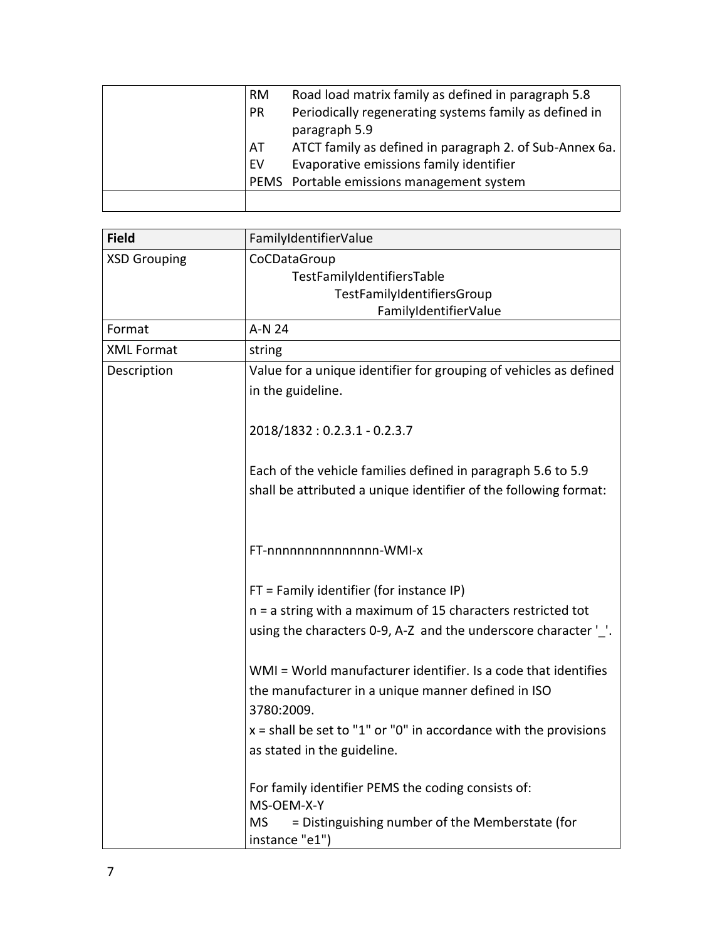| RM | Road load matrix family as defined in paragraph 5.8     |
|----|---------------------------------------------------------|
| PR | Periodically regenerating systems family as defined in  |
|    | paragraph 5.9                                           |
| AT | ATCT family as defined in paragraph 2. of Sub-Annex 6a. |
| EV | Evaporative emissions family identifier                 |
|    | PEMS Portable emissions management system               |
|    |                                                         |

| <b>Field</b>        | FamilyIdentifierValue                                                          |
|---------------------|--------------------------------------------------------------------------------|
| <b>XSD Grouping</b> | CoCDataGroup                                                                   |
|                     | TestFamilyIdentifiersTable                                                     |
|                     | TestFamilyIdentifiersGroup                                                     |
| Format              | FamilyIdentifierValue<br>A-N 24                                                |
| <b>XML Format</b>   |                                                                                |
|                     | string                                                                         |
| Description         | Value for a unique identifier for grouping of vehicles as defined              |
|                     | in the guideline.                                                              |
|                     | 2018/1832: 0.2.3.1 - 0.2.3.7                                                   |
|                     | Each of the vehicle families defined in paragraph 5.6 to 5.9                   |
|                     | shall be attributed a unique identifier of the following format:               |
|                     | FT-nnnnnnnnnnnnnnn-WMI-x                                                       |
|                     | $FT = Family identifier (for instance IP)$                                     |
|                     | n = a string with a maximum of 15 characters restricted tot                    |
|                     | using the characters 0-9, A-Z and the underscore character '_'.                |
|                     | WMI = World manufacturer identifier. Is a code that identifies                 |
|                     | the manufacturer in a unique manner defined in ISO                             |
|                     | 3780:2009.                                                                     |
|                     | $x =$ shall be set to "1" or "0" in accordance with the provisions             |
|                     | as stated in the guideline.                                                    |
|                     | For family identifier PEMS the coding consists of:<br>MS-OEM-X-Y               |
|                     | = Distinguishing number of the Memberstate (for<br><b>MS</b><br>instance "e1") |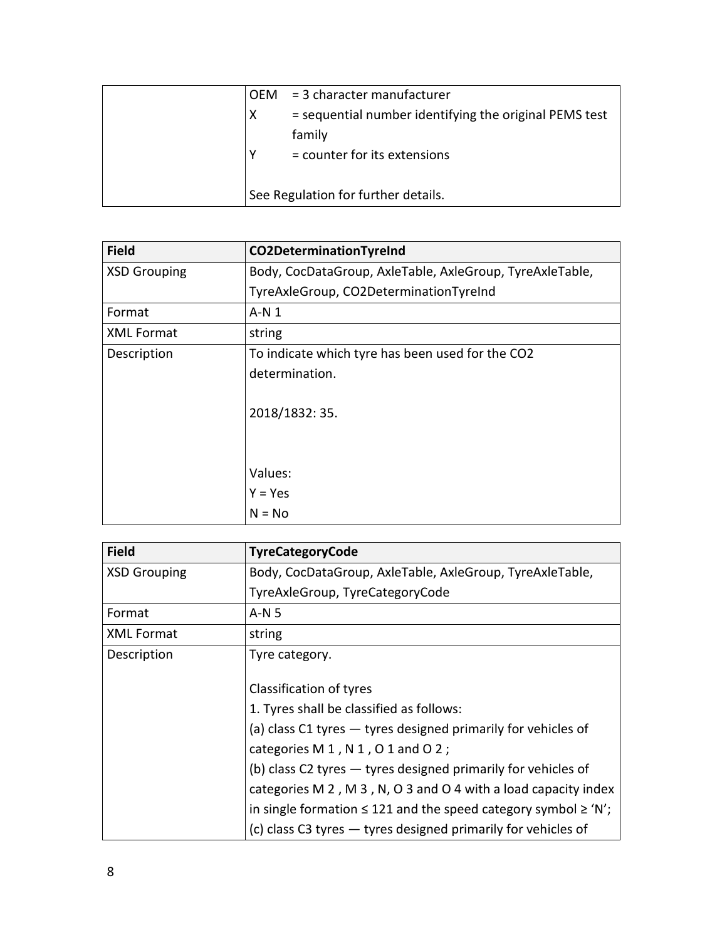| <b>OFM</b> | $=$ 3 character manufacturer                           |
|------------|--------------------------------------------------------|
| X          | = sequential number identifying the original PEMS test |
|            | family                                                 |
|            | = counter for its extensions                           |
|            |                                                        |
|            | See Regulation for further details.                    |

| <b>Field</b>        | <b>CO2DeterminationTyreInd</b>                           |
|---------------------|----------------------------------------------------------|
| <b>XSD Grouping</b> | Body, CocDataGroup, AxleTable, AxleGroup, TyreAxleTable, |
|                     | TyreAxleGroup, CO2DeterminationTyreInd                   |
| Format              | A-N 1                                                    |
| <b>XML Format</b>   | string                                                   |
| Description         | To indicate which tyre has been used for the CO2         |
|                     | determination.                                           |
|                     | 2018/1832: 35.                                           |
|                     |                                                          |
|                     | Values:                                                  |
|                     | Y = Yes                                                  |
|                     | $N = No$                                                 |

| <b>Field</b>        | <b>TyreCategoryCode</b>                                                                                                                                                                                                                                                                                                                                                                               |
|---------------------|-------------------------------------------------------------------------------------------------------------------------------------------------------------------------------------------------------------------------------------------------------------------------------------------------------------------------------------------------------------------------------------------------------|
| <b>XSD Grouping</b> | Body, CocDataGroup, AxleTable, AxleGroup, TyreAxleTable,                                                                                                                                                                                                                                                                                                                                              |
|                     | TyreAxleGroup, TyreCategoryCode                                                                                                                                                                                                                                                                                                                                                                       |
| Format              | $A-N5$                                                                                                                                                                                                                                                                                                                                                                                                |
| <b>XML Format</b>   | string                                                                                                                                                                                                                                                                                                                                                                                                |
| Description         | Tyre category.                                                                                                                                                                                                                                                                                                                                                                                        |
|                     | Classification of tyres<br>1. Tyres shall be classified as follows:<br>(a) class C1 tyres - tyres designed primarily for vehicles of<br>categories $M 1$ , $N 1$ , $O 1$ and $O 2$ ;<br>(b) class C2 tyres $-$ tyres designed primarily for vehicles of<br>categories M 2, M 3, N, O 3 and O 4 with a load capacity index<br>in single formation $\leq$ 121 and the speed category symbol $\geq$ 'N'; |
|                     | (c) class C3 tyres - tyres designed primarily for vehicles of                                                                                                                                                                                                                                                                                                                                         |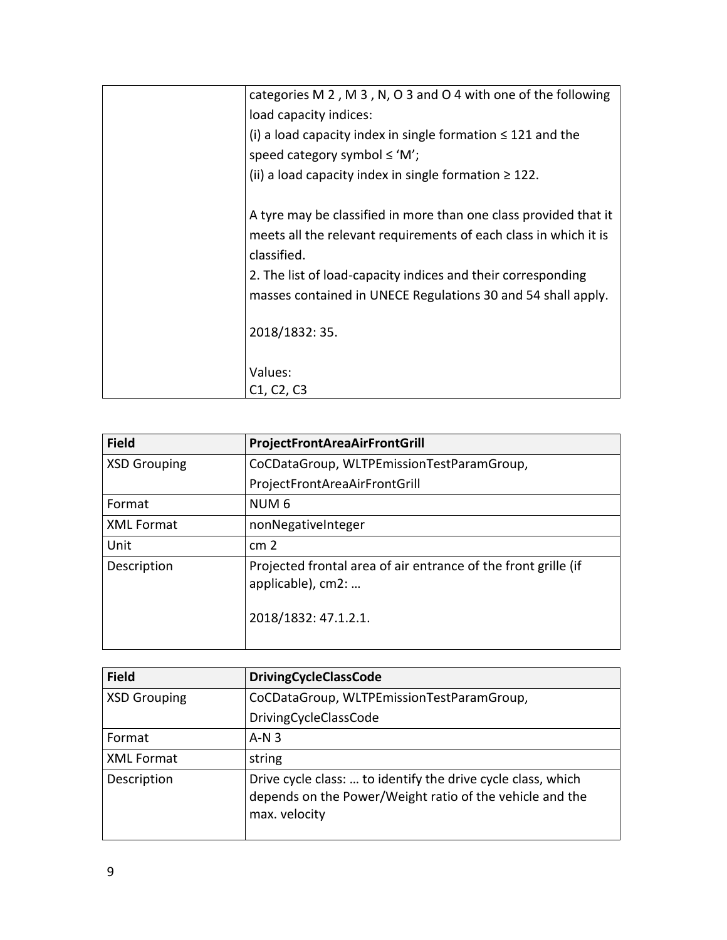| categories M 2, M 3, N, O 3 and O 4 with one of the following                                                                                       |
|-----------------------------------------------------------------------------------------------------------------------------------------------------|
| load capacity indices:                                                                                                                              |
| (i) a load capacity index in single formation $\leq$ 121 and the                                                                                    |
| speed category symbol $\leq$ 'M';                                                                                                                   |
| (ii) a load capacity index in single formation $\geq 122$ .                                                                                         |
| A tyre may be classified in more than one class provided that it<br>meets all the relevant requirements of each class in which it is<br>classified. |
| 2. The list of load-capacity indices and their corresponding<br>masses contained in UNECE Regulations 30 and 54 shall apply.                        |
| 2018/1832: 35.                                                                                                                                      |
| Values:                                                                                                                                             |
| C1, C2, C3                                                                                                                                          |

| <b>Field</b>        | ProjectFrontAreaAirFrontGrill                                                                               |
|---------------------|-------------------------------------------------------------------------------------------------------------|
| <b>XSD Grouping</b> | CoCDataGroup, WLTPEmissionTestParamGroup,                                                                   |
|                     | ProjectFrontAreaAirFrontGrill                                                                               |
| Format              | NUM <sub>6</sub>                                                                                            |
| <b>XML Format</b>   | nonNegativeInteger                                                                                          |
| Unit                | cm <sub>2</sub>                                                                                             |
| Description         | Projected frontal area of air entrance of the front grille (if<br>applicable), cm2:<br>2018/1832: 47.1.2.1. |

| <b>Field</b>        | <b>DrivingCycleClassCode</b>                                                                                                              |
|---------------------|-------------------------------------------------------------------------------------------------------------------------------------------|
| <b>XSD Grouping</b> | CoCDataGroup, WLTPEmissionTestParamGroup,                                                                                                 |
|                     | DrivingCycleClassCode                                                                                                                     |
| Format              | $A-N3$                                                                                                                                    |
| <b>XML Format</b>   | string                                                                                                                                    |
| Description         | Drive cycle class:  to identify the drive cycle class, which<br>depends on the Power/Weight ratio of the vehicle and the<br>max. velocity |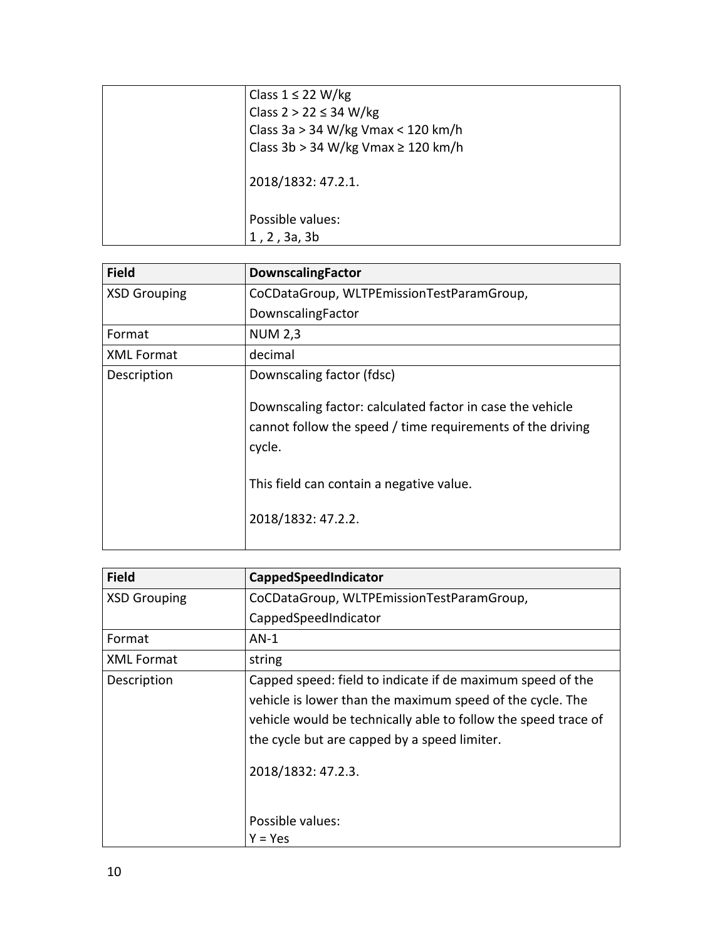| Class $1 \leq 22$ W/kg                  |
|-----------------------------------------|
| Class $2 > 22 \leq 34$ W/kg             |
| Class 3a > 34 W/kg Vmax < 120 km/h      |
| Class 3b > 34 W/kg Vmax $\geq$ 120 km/h |
| 2018/1832: 47.2.1.                      |
| Possible values:                        |
| 1, 2, 3a, 3b                            |
|                                         |

| <b>DownscalingFactor</b>                                                                                                          |
|-----------------------------------------------------------------------------------------------------------------------------------|
| CoCDataGroup, WLTPEmissionTestParamGroup,                                                                                         |
| DownscalingFactor                                                                                                                 |
| <b>NUM 2,3</b>                                                                                                                    |
| decimal                                                                                                                           |
| Downscaling factor (fdsc)                                                                                                         |
| Downscaling factor: calculated factor in case the vehicle<br>cannot follow the speed / time requirements of the driving<br>cycle. |
| This field can contain a negative value.                                                                                          |
| 2018/1832: 47.2.2.                                                                                                                |
|                                                                                                                                   |

| <b>Field</b>        | CappedSpeedIndicator                                                                                                                                                                                                                                            |
|---------------------|-----------------------------------------------------------------------------------------------------------------------------------------------------------------------------------------------------------------------------------------------------------------|
| <b>XSD Grouping</b> | CoCDataGroup, WLTPEmissionTestParamGroup,                                                                                                                                                                                                                       |
|                     | CappedSpeedIndicator                                                                                                                                                                                                                                            |
| Format              | $AN-1$                                                                                                                                                                                                                                                          |
| <b>XML Format</b>   | string                                                                                                                                                                                                                                                          |
| Description         | Capped speed: field to indicate if de maximum speed of the<br>vehicle is lower than the maximum speed of the cycle. The<br>vehicle would be technically able to follow the speed trace of<br>the cycle but are capped by a speed limiter.<br>2018/1832: 47.2.3. |
|                     | Possible values:                                                                                                                                                                                                                                                |
|                     | Y = Yes                                                                                                                                                                                                                                                         |